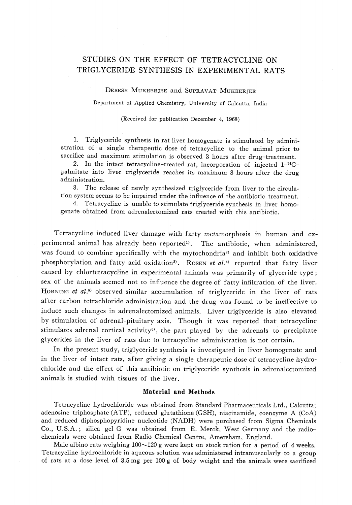## STUDIES ON THE EFFECT OF TETRACYCLINE ON TRIGLYCERIDE SYNTHESIS IN EXPERIMENTAL RATS

Debesh Mukherjee and Supravat Mukherjee

Department of Applied Chemistry, University of Calcutta, India

(Received for publication December 4, 1968}

 $\frac{1}{100}$  . Trigly certain sympaths is stimulated by administration of a single thermalic is stimulated by administration of a single therapeutic dose of tetracycline to the animal prior to

2. In the intact tetracycline-treated rat, incorporation of injected 1-<sup>14</sup>Cpalmitate into liver triglyceride reaches its maximum 3 hours after the drug administration.<br>3. The release of newly synthesized triglyceride from liver to the circula-

tion system seems to be impaired under the influence of the antibiotic treatment.

4. Tetracycline is unable to stimulate triglyceride synthesis in liver homogenate obtained from a drenalectomized ratio treated with this antibiotic.

 $T_{\text{energy}}$  in the mate of  $T_{\text{total}}$  and  $T_{\text{total}}$  and  $T_{\text{total}}$  and  $T_{\text{total}}$  and  $T_{\text{total}}$  and  $T_{\text{total}}$  and  $T_{\text{total}}$ perimental animal has already been reported<sup>1</sup>. The antibiotic, when administered was found to combine specifically with the mytochondria2 and inhibit both oxidative phosphorylation and fatty acid oxidation<sup>3</sup>). Rosen *et al.*<sup>3</sup> reported that fatty live caused by chlortetracycline in experimental animals was primarily of glyceride type;<br>sex of the animals seemed not to influence the degree of fatty infiltration of the liver. sex of the animals seemed not to influence the degree of fatty infinituation of the live HORNING et  $a_i$ .<sup>3)</sup> observed similar accumulation of triglyceride in the liver of rat  $\frac{1}{2}$  and the drug was found tetrached and the drug was found to be integrated to be integrated to be integrated to be integrated to be integrated to be integrated to be integrated to be integrated to be integrated to induce such changes in adrenalectomized animals. Liver triglyceride is also elevat by stimulation of adrenal-pituitary axis. Though it was reported that tetracycline stimulates adrenal cortical activity<sup>6</sup>, the part played by the adrenals to precipitate glycerides in the liver of rats due to tetracycline administration is not certain.

In the present study, triglyceride synthesis is investigated in liver homogenate and<br>in the liver of intact rats, after giving a single therapeutic dose of tetracycline hydro- $\mathbf{a}$ in the liver of interact rates, after giving a single therapeutic dose of tetracycline hydrochloride and the effect of this antibiotic on triglyceride synthesis in adrenalectomized animals is studied with tissues of the liver.

Material and Methods<br>Tetracycline hydrochloride was obtained from Standard Pharmaceuticals Ltd., Calcutta; adenosine triphosphate (ATP), reduced glutathione (GSH), niacinamide, coenzyme A (CoA) and reduced diphosphopyridine nucleotide (NADH) were purchased from Sigma Chemicals Co., U.S.A.; silica gel G was obtained from E. Merck, West Germany and the radiochemicals were obtained from Radio Chemical Centre, Amersham, England.

Male albino rats weighing  $100 \sim 120$  g were kept on stock ration for a period of 4 weeks. Tetracycline hydrochloride in aqueous solution was administered intramuscularly to a group of rats at a dose level of  $3.5 \text{ mg}$  per  $100 \text{ g}$  of body weight and the animals were sociated  $\alpha$  ,  $\alpha$  is a dose level of  $\alpha$  per 100g per 100g per 100g per 100g of body weight and the animals were sacrificed by  $\alpha$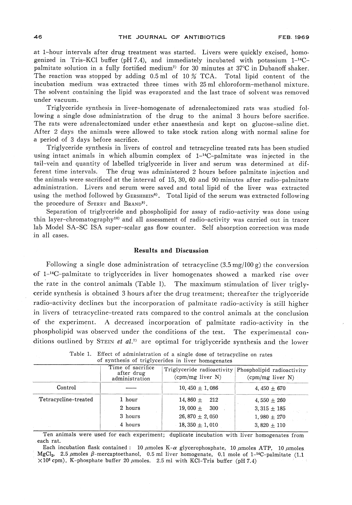at 1-hour intervals after drug treatment was started. Livers were quickly excised, homo-<br>genized in Tris-KCl buffer (pH 7.4), and immediately incubated with potassium  $1^{-14}C$ palmitate solution in a fully fortified medium<sup>7</sup> for 30 minutes at 37°C in Dubanoff shaker. The reaction was stopped by adding  $0.5$  ml of  $10\%$  TCA. Total lipid content of the incubation medium was extracted three times with 25 ml chloroform-methanol mixture. incubation inculum was extracted three times with 25 ml chloroform-inculation inixture.<br>The solvent containing the linid was evaporated and the last trace of solvent was removed  $T$  solvent containing the lipid was evaporated and the last trace of solvent was removed. under vacuum.

Triglyceride synthesis in liver-homogenate of adrenalectomized rats was studied following a single dose administration of the drug to the animal 3 hours before sacrifice. The rats were adrenalectomized under ether anaesthesia and kept on glucose-saline diet.<br>After 2 days the animals were allowed to take stock ration along with normal saline for a period of 3 days before sacrifice.

using intact animals in which albumin complex of 1<sup>-14</sup>C-palmitate was injected in the tail-vein and quantity of labelled triglyceride in liver and serum was determined at difthe animals were sacrificed at the interval of 15, 30, 60 and 90 minutes after radio-palmitate administration. Livers and serum were saved and total lipid of the liver was extracted using the method followed by GERSHBEIN<sup>8</sup>. Total lipid of the serum was extracted following the procedure of SPERRY and BRAND<sup>9)</sup>.

Separation of triglyceride and phospholipid for assay of radio-activity was done using thin laver-chromatography<sup>10</sup> and all assessment of radio-activity was carried out in tracer  $t_{\rm lab}$  Model SA-SC ISA super-sceler see flow sounter. Self-elecenties correction was model  $\ln \frac{1}{\sin \theta}$  super-scalar gas flow counter. See absorption correction was made in all cases.

## Results and Discussion

 $F_{\rm 1.14}$  solution at single dose administration of tetracycline (3.5mg/100 g) the conversion (3.5mg/100 g) the conversion of the conversion (3.5mg/100 g) the conversion (3.5mg/100 g) the conversion (3.5mg/100 g) the c of 1-<sup>21</sup>C-palmitate to triglycerides in liver homogenates showed a marked rise over the rate in the control animals (Table 1). The maximum stimulation of liver trigly-<br>ceride synthesis is obtained 3 hours after the drug treatment; thereafter the triglyceride ceride synthesis is obtained 3 hours after the drug treatment; thereafter the triglyceride radio-activity declines but the incorporation of palmitate radio-activity is still higher in livers of tetracycline-treated rats compared to the control animals at the conclusion of the experiment. A decreased incorporation of palmitate radio-activity in the phospholipid was observed under the conditions of the test. The experimental conditions outlined by Stein et al.<sup>3</sup> are optimal for triglyceride synthesis and the lower

|                      | Time of sacrifice<br>after drug<br>administration | Triglyceride radioactivity Phospholipid radioactivity<br>(cpm/mg liver N) | $\text{(cpm/mg liver N)}$ |  |
|----------------------|---------------------------------------------------|---------------------------------------------------------------------------|---------------------------|--|
| Control              |                                                   | $10,450 \pm 1,086$                                                        | $4.450 \pm 670$           |  |
| Tetracycline-treated | 1 hour                                            | 14,860 $\pm$<br>212                                                       | 4,550 $\pm$ 260           |  |
|                      | 2 hours                                           | $19.000 +$<br>300                                                         | 3, 315 $\pm$ 185          |  |
|                      | 3 hours                                           | 26, 870 $\pm$ 2, 050                                                      | 1,980 $\pm$ 270           |  |
|                      | 4 hours                                           | 18, 350 $\pm$ 1, 010                                                      | 3,820 $\pm$ 110           |  |

| of synthesis of triglycerides in liver homogenates                          |
|-----------------------------------------------------------------------------|
| Table 1. Effect of administration of a single dose of tetracycline on rates |

Ten animals were used for each experiment; duplicate incubation with liver homogenates from each rat.<br>Each incubation flask contained: 10  $\mu$ moles K- $\alpha$  glycerophosphate, 10  $\mu$ moles ATP, 10  $\mu$ moles.

 $MgCl<sub>2</sub>$ , 2.5  $\mu$ moles  $\beta$ -mercaptoethanol, 0.5 ml liver homogenate, 0.1 mole of 1-<sup>14</sup>C-palmitate (1.1  $\times 10^5$  cpm), K-phosphate buffer 20  $\mu$ moles. 2.5 ml with KCl-Tris buffer (pH 7.4)  $\mathcal{L}$  complex 20  $\mathcal{L}$  multipliers. 2.5 ml with KCl-Tris buffer (pH  $\mathcal{L}$ ) multipliers. 2.5 ml with KCl-Tris buffer (pH  $\mathcal{L}$ ) multipliers. 2.5 ml with KCl-Tris buffer (pH  $\mathcal{L}$ ) multipliers. 2.4) multiplie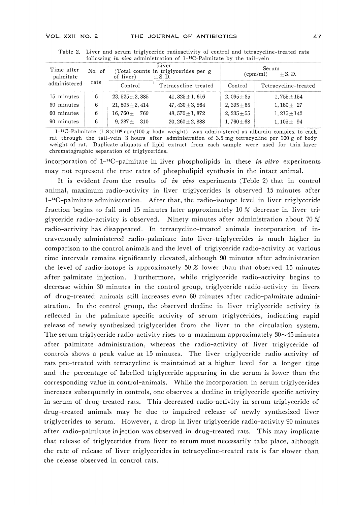| Time after<br>No. of<br>palmitate |      | Liver<br>(Total counts in triglycerides per g<br>of liver)<br>$+ S. D.$ |                      | Serum<br>$+ S. D.$<br>$\text{(cpm/ml)}$ |                      |
|-----------------------------------|------|-------------------------------------------------------------------------|----------------------|-----------------------------------------|----------------------|
| administered                      | rats | Control                                                                 | Tetracycline-treated | Control                                 | Tetracycline-treated |
| 15 minutes                        | 6    | $23.525 + 2.385$                                                        | $41, 325 + 1, 616$   | $2,095+35$                              | $1.755 + 154$        |
| 30 minutes                        | 6    | $21,805 + 2,414$                                                        | $47.430 + 3.564$     | $2,395+65$                              | $1.180 + 27$         |
| minutes<br>60.                    | 6    | $16.760 +$<br>760                                                       | $48.570 + 1.872$     | $2,235 + 55$                            | $1.215 + 142$        |
| minutes<br>90.                    | 6    | $9.287 +$<br>310                                                        | $20.260 + 2.888$     | $1.760 + 68$                            | $1.105 + 94$         |

Table 2. Liver and serum triglyceride radioactivity of control and tetracycline-treated rats following in vivo administration of  $1-$ <sup>14</sup>C-Palmitate by the tail-vein

 $1^{-14}C-Palmitate$  (1.8×10<sup>6</sup> cpm/100 g body weight) was administered as albumin complex to each rat through the tail-vein 3 hours after administration of 3.5 mg tetracycline per 100 g of body rat through the tail vein 5 hours after administration of 5.5 mg tetracycline per 100 g of body<br>weight of rat. Duplicate aliquots of lipid extract from each sample were used for thin-layer chromatographic separation of triglycerides.

incorporation of  $1^{-14}C$ -palmitate in liver phospholipids in these *in vitro* experiments may not represent the true rates of phospholipid synthesis in the intact animal.

It is evident from the results of *in vivo* experiments (Teble 2) that in control animal, maximum radio-activity in liver triglycerides is observed 15 minutes after  $1<sup>-14</sup>C$ -palmitate administration. After that, the radio-isotope level in liver triglyceride fraction begins to fall and 15 minutes later approximately 10  $\%$  decrease in liver triglyceride radio-activity is observed. Ninety minutes after administration about 70 % glyceride radio-activity is observed. Ninety minutes after administration about 70 % radio-activity has disappeared. In tetracycline-treated animals incorporation of intravenously administered radio-palmitate into liver-triglycerides is much higher in comparison to the control animals and the level of triglyceride radio-activity at various time intervals remains significantly elevated, although  $90$  minutes after administration<br>the level of radio-isotope is approximately  $50\%$  lower than that observed 15 minutes  $t_{\rm{obs}}$  of radio-isotope is approximately  $\Gamma$  radio-isotope is approximately  $\Gamma$  . That observed  $\Gamma$  is approximately  $\Gamma$  is approximately  $\Gamma$  is approximately  $\Gamma$  is approximately  $\Gamma$  is approximately  $\Gamma$  is ap after palmitate injection. Furthermore, while triglyceride radio-activity begins to decrease within 30 minutes in the control group, triglyceride radio-activity in livers of drug-treated animals still increases even 60 minutes after radio-palmitate administration. In the control group, the observed decline in liver triglyceride activity is reflected in the palmitate specific activity of serum triglycerides, indicating rapid release of newly synthesized triglycerides from the liver to the circulation system.<br>The serum triglyceride radio-activity rises to a maximum approximately  $30 \sim 45$  minutes The serum triglyceride radio-activity rises to a maximum temperature of 0.145 minutes after palmitate administration, whereas the radio-activity of liver triglyceride of controls shows a peak value at 15 minutes. The liver triglyceride radio-activity of rats pre-treated with tetracycline is maintained at a higher level for a longer time and the percentage of labelled triglyceride appearing in the serum is lower than the corresponding value in control-animals. While the incorporation in serum triglycerides in serum of drug-treated rats. This decreased radio-activity in serum triglyceride of in serum of drug-treated rats. This decreased radio-activity in serum triglyceride of drug-treated animals may be due to impaired release of newly synthesized liver triglycerides to serum. However, a drop in liver triglyceride radio-activity 90 minutes after radio-palmitate in jection was observed in drug-treated rats. This may implicate that release of triglycerides from liver to serum must necessarily take place, although the release of noticerides from liver to serve the server to serve the server to see  $\frac{1}{n}$ the rate of release of liver triglycerides in tetracycline-treated rats is far slower than the release observed in control rats.